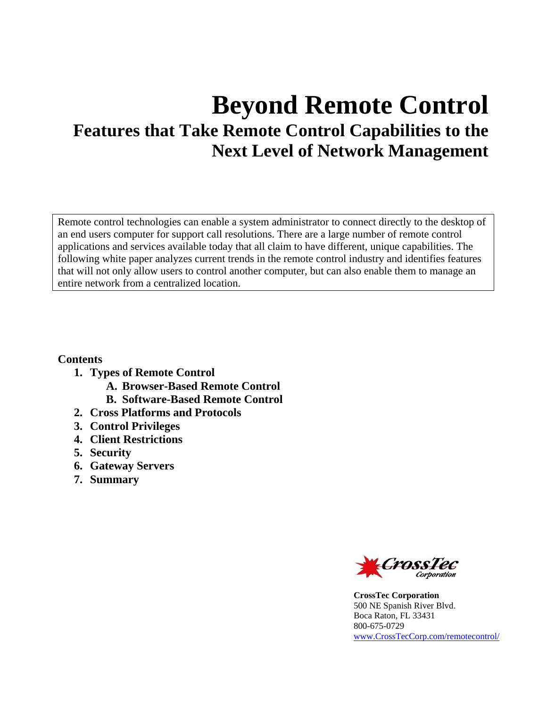# **Beyond Remote Control Features that Take Remote Control Capabilities to the Next Level of Network Management**

Remote control technologies can enable a system administrator to connect directly to the desktop of an end users computer for support call resolutions. There are a large number of remote control applications and services available today that all claim to have different, unique capabilities. The following white paper analyzes current trends in the remote control industry and identifies features that will not only allow users to control another computer, but can also enable them to manage an entire network from a centralized location.

**Contents** 

- **1. Types of Remote Control** 
	- **A. Browser-Based Remote Control**
	- **B. Software-Based Remote Control**
- **2. Cross Platforms and Protocols**
- **3. Control Privileges**
- **4. Client Restrictions**
- **5. Security**
- **6. Gateway Servers**
- **7. Summary**



**CrossTec Corporation**  500 NE Spanish River Blvd. Boca Raton, FL 33431 800-675-0729 www.CrossTecCorp.com/remotecontrol/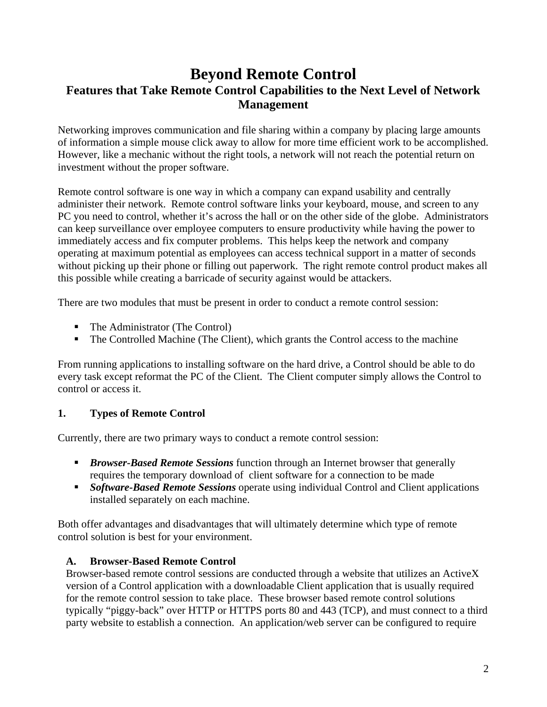## **Beyond Remote Control Features that Take Remote Control Capabilities to the Next Level of Network Management**

Networking improves communication and file sharing within a company by placing large amounts of information a simple mouse click away to allow for more time efficient work to be accomplished. However, like a mechanic without the right tools, a network will not reach the potential return on investment without the proper software.

Remote control software is one way in which a company can expand usability and centrally administer their network. Remote control software links your keyboard, mouse, and screen to any PC you need to control, whether it's across the hall or on the other side of the globe. Administrators can keep surveillance over employee computers to ensure productivity while having the power to immediately access and fix computer problems. This helps keep the network and company operating at maximum potential as employees can access technical support in a matter of seconds without picking up their phone or filling out paperwork. The right remote control product makes all this possible while creating a barricade of security against would be attackers.

There are two modules that must be present in order to conduct a remote control session:

- The Administrator (The Control)
- The Controlled Machine (The Client), which grants the Control access to the machine

From running applications to installing software on the hard drive, a Control should be able to do every task except reformat the PC of the Client. The Client computer simply allows the Control to control or access it.

#### **1. Types of Remote Control**

Currently, there are two primary ways to conduct a remote control session:

- *Browser-Based Remote Sessions* function through an Internet browser that generally requires the temporary download of client software for a connection to be made
- *Software-Based Remote Sessions* operate using individual Control and Client applications installed separately on each machine.

Both offer advantages and disadvantages that will ultimately determine which type of remote control solution is best for your environment.

#### **A. Browser-Based Remote Control**

Browser-based remote control sessions are conducted through a website that utilizes an ActiveX version of a Control application with a downloadable Client application that is usually required for the remote control session to take place. These browser based remote control solutions typically "piggy-back" over HTTP or HTTPS ports 80 and 443 (TCP), and must connect to a third party website to establish a connection. An application/web server can be configured to require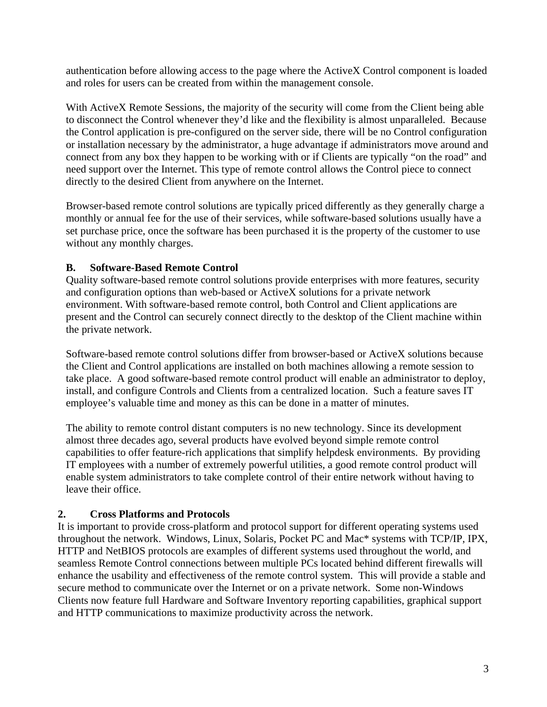authentication before allowing access to the page where the ActiveX Control component is loaded and roles for users can be created from within the management console.

With ActiveX Remote Sessions, the majority of the security will come from the Client being able to disconnect the Control whenever they'd like and the flexibility is almost unparalleled. Because the Control application is pre-configured on the server side, there will be no Control configuration or installation necessary by the administrator, a huge advantage if administrators move around and connect from any box they happen to be working with or if Clients are typically "on the road" and need support over the Internet. This type of remote control allows the Control piece to connect directly to the desired Client from anywhere on the Internet.

Browser-based remote control solutions are typically priced differently as they generally charge a monthly or annual fee for the use of their services, while software-based solutions usually have a set purchase price, once the software has been purchased it is the property of the customer to use without any monthly charges.

### **B. Software-Based Remote Control**

Quality software-based remote control solutions provide enterprises with more features, security and configuration options than web-based or ActiveX solutions for a private network environment. With software-based remote control, both Control and Client applications are present and the Control can securely connect directly to the desktop of the Client machine within the private network.

Software-based remote control solutions differ from browser-based or ActiveX solutions because the Client and Control applications are installed on both machines allowing a remote session to take place. A good software-based remote control product will enable an administrator to deploy, install, and configure Controls and Clients from a centralized location. Such a feature saves IT employee's valuable time and money as this can be done in a matter of minutes.

The ability to remote control distant computers is no new technology. Since its development almost three decades ago, several products have evolved beyond simple remote control capabilities to offer feature-rich applications that simplify helpdesk environments. By providing IT employees with a number of extremely powerful utilities, a good remote control product will enable system administrators to take complete control of their entire network without having to leave their office.

#### **2. Cross Platforms and Protocols**

It is important to provide cross-platform and protocol support for different operating systems used throughout the network. Windows, Linux, Solaris, Pocket PC and Mac\* systems with TCP/IP, IPX, HTTP and NetBIOS protocols are examples of different systems used throughout the world, and seamless Remote Control connections between multiple PCs located behind different firewalls will enhance the usability and effectiveness of the remote control system. This will provide a stable and secure method to communicate over the Internet or on a private network. Some non-Windows Clients now feature full Hardware and Software Inventory reporting capabilities, graphical support and HTTP communications to maximize productivity across the network.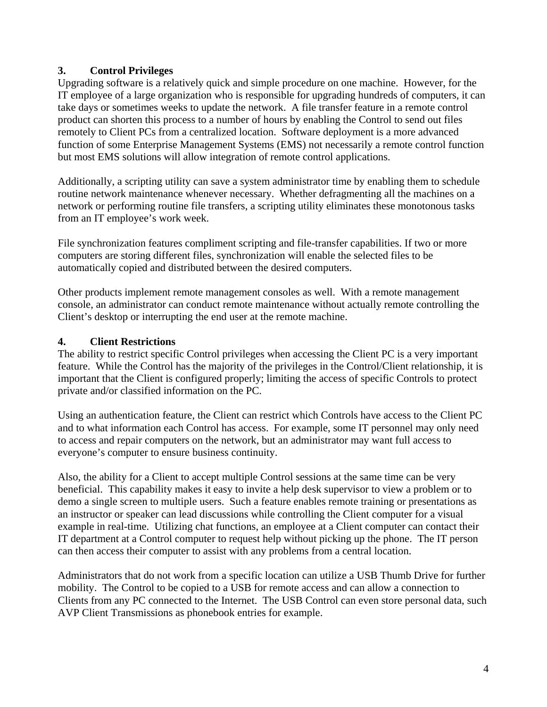### **3. Control Privileges**

Upgrading software is a relatively quick and simple procedure on one machine. However, for the IT employee of a large organization who is responsible for upgrading hundreds of computers, it can take days or sometimes weeks to update the network. A file transfer feature in a remote control product can shorten this process to a number of hours by enabling the Control to send out files remotely to Client PCs from a centralized location. Software deployment is a more advanced function of some Enterprise Management Systems (EMS) not necessarily a remote control function but most EMS solutions will allow integration of remote control applications.

Additionally, a scripting utility can save a system administrator time by enabling them to schedule routine network maintenance whenever necessary. Whether defragmenting all the machines on a network or performing routine file transfers, a scripting utility eliminates these monotonous tasks from an IT employee's work week.

File synchronization features compliment scripting and file-transfer capabilities. If two or more computers are storing different files, synchronization will enable the selected files to be automatically copied and distributed between the desired computers.

Other products implement remote management consoles as well. With a remote management console, an administrator can conduct remote maintenance without actually remote controlling the Client's desktop or interrupting the end user at the remote machine.

### **4. Client Restrictions**

The ability to restrict specific Control privileges when accessing the Client PC is a very important feature. While the Control has the majority of the privileges in the Control/Client relationship, it is important that the Client is configured properly; limiting the access of specific Controls to protect private and/or classified information on the PC.

Using an authentication feature, the Client can restrict which Controls have access to the Client PC and to what information each Control has access. For example, some IT personnel may only need to access and repair computers on the network, but an administrator may want full access to everyone's computer to ensure business continuity.

Also, the ability for a Client to accept multiple Control sessions at the same time can be very beneficial. This capability makes it easy to invite a help desk supervisor to view a problem or to demo a single screen to multiple users. Such a feature enables remote training or presentations as an instructor or speaker can lead discussions while controlling the Client computer for a visual example in real-time. Utilizing chat functions, an employee at a Client computer can contact their IT department at a Control computer to request help without picking up the phone. The IT person can then access their computer to assist with any problems from a central location.

Administrators that do not work from a specific location can utilize a USB Thumb Drive for further mobility. The Control to be copied to a USB for remote access and can allow a connection to Clients from any PC connected to the Internet. The USB Control can even store personal data, such AVP Client Transmissions as phonebook entries for example.